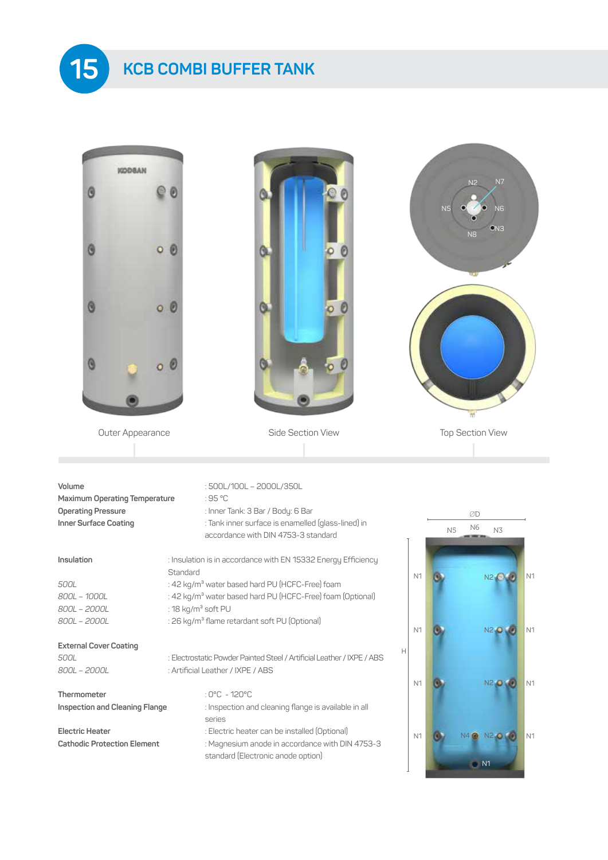## **KCB COMBI BUFFER TANK 15**

| <b>KODBAN</b>                                                |                                                                                                                                                   |                | N7<br>N <sub>2</sub>                         |  |  |  |  |
|--------------------------------------------------------------|---------------------------------------------------------------------------------------------------------------------------------------------------|----------------|----------------------------------------------|--|--|--|--|
|                                                              |                                                                                                                                                   |                | N <sub>6</sub>                               |  |  |  |  |
| O<br>o                                                       |                                                                                                                                                   |                | ON <sub>3</sub><br>N <sub>8</sub>            |  |  |  |  |
| O<br>$\circ$                                                 | O                                                                                                                                                 |                |                                              |  |  |  |  |
| $\Theta$                                                     |                                                                                                                                                   |                |                                              |  |  |  |  |
|                                                              |                                                                                                                                                   |                |                                              |  |  |  |  |
| Outer Appearance                                             | Side Section View                                                                                                                                 |                | <b>Top Section View</b>                      |  |  |  |  |
| Volume<br><b>Maximum Operating Temperature</b>               | : 500L/100L - 2000L/350L<br>:95 °C                                                                                                                |                |                                              |  |  |  |  |
| <b>Operating Pressure</b><br>Inner Surface Coating           | : Inner Tank: 3 Bar / Body: 6 Bar<br>: Tank inner surface is enamelled (glass-lined) in<br>accordance with DIN 4753-3 standard                    |                | ØD<br>N <sub>6</sub><br>N <sub>5</sub><br>N3 |  |  |  |  |
| Insulation                                                   | : Insulation is in accordance with EN 15332 Energy Efficiency                                                                                     |                |                                              |  |  |  |  |
| 500L<br>800L - 1000L                                         | Standard<br>: 42 kg/m <sup>3</sup> water based hard PU (HCFC-Free) foam<br>: 42 kg/m <sup>3</sup> water based hard PU (HCFC-Free) foam (Optional) | N <sub>1</sub> | N <sub>1</sub><br>N2 00                      |  |  |  |  |
| 800L - 2000L<br>800L - 2000L                                 | : 18 kg/m <sup>3</sup> soft PU<br>: 26 kg/m <sup>3</sup> flame retardant soft PU (Optional)                                                       | N <sub>1</sub> | <b>N2 0 4</b><br>N <sub>1</sub>              |  |  |  |  |
| <b>External Cover Coating</b><br>500L<br>800L - 2000L        | : Electrostatic Powder Painted Steel / Artificial Leather / IXPE / ABS<br>: Artificial Leather / IXPE / ABS                                       | Н              |                                              |  |  |  |  |
| Thermometer<br>Inspection and Cleaning Flange                | : 0°C - 120°C<br>: Inspection and cleaning flange is available in all                                                                             | N <sub>1</sub> | N2 0<br>N <sub>1</sub>                       |  |  |  |  |
| <b>Electric Heater</b><br><b>Cathodic Protection Element</b> | series<br>: Electric heater can be installed (Optional)<br>: Magnesium anode in accordance with DIN 4753-3<br>standard (Electronic anode option)  | N <sub>1</sub> | N <sub>2</sub><br>N <sub>1</sub><br>N1       |  |  |  |  |